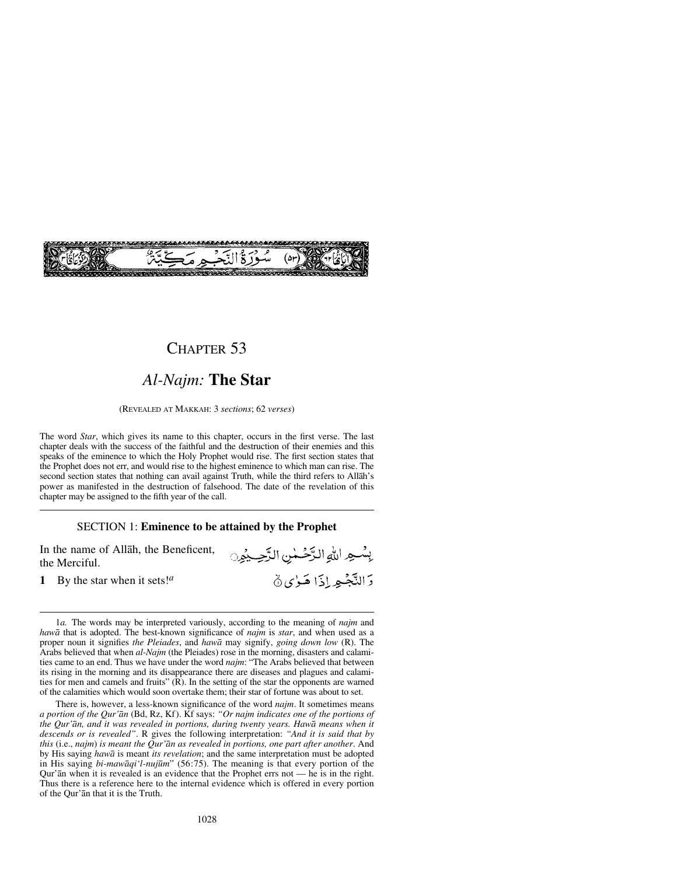

### CHAPTER 53

## *Al-Najm:* **The Star**

(REVEALED AT MAKKAH: 3 *sections*; 62 *verses*)

The word *Star*, which gives its name to this chapter, occurs in the first verse. The last chapter deals with the success of the faithful and the destruction of their enemies and this speaks of the eminence to which the Holy Prophet would rise. The first section states that the Prophet does not err, and would rise to the highest eminence to which man can rise. The second section states that nothing can avail against Truth, while the third refers to Allåh's power as manifested in the destruction of falsehood. The date of the revelation of this chapter may be assigned to the fifth year of the call.

### SECTION 1: **Eminence to be attained by the Prophet**

بِسُهِ اللهِ الرَّحْمٰنِ الرَّحِيْمِنِ

وَالنَّجْبِهِ إِذَا هَيْءِ ۞

In the name of Allåh, the Beneficent, the Merciful.

**1** By the star when it sets!*<sup>a</sup>*

1*a.* The words may be interpreted variously, according to the meaning of *najm* and *hawå* that is adopted. The best-known significance of *najm* is *star*, and when used as a proper noun it signifies *the Pleiades*, and *hawå* may signify, *going down low* (R). The Arabs believed that when *al-Najm* (the Pleiades) rose in the morning, disasters and calamities came to an end. Thus we have under the word *najm*: "The Arabs believed that between its rising in the morning and its disappearance there are diseases and plagues and calamities for men and camels and fruits" (R). In the setting of the star the opponents are warned of the calamities which would soon overtake them; their star of fortune was about to set.

There is, however, a less-known significance of the word *najm*. It sometimes means *a portion of the Qur'ån* (Bd, Rz, Kf). Kf says: *"Or najm indicates one of the portions of the Qur'ån, and it was revealed in portions, during twenty years. Hawå means when it descends or is revealed"*. R gives the following interpretation: *"And it is said that by this* (i.e., *najm*) *is meant the Qur'ån as revealed in portions, one part after another*. And by His saying *hawå* is meant *its revelation*; and the same interpretation must be adopted in His saying *bi-mawåqi'l-nuj∂m*" (56:75). The meaning is that every portion of the Qur'ån when it is revealed is an evidence that the Prophet errs not — he is in the right. Thus there is a reference here to the internal evidence which is offered in every portion of the Qur'ån that it is the Truth.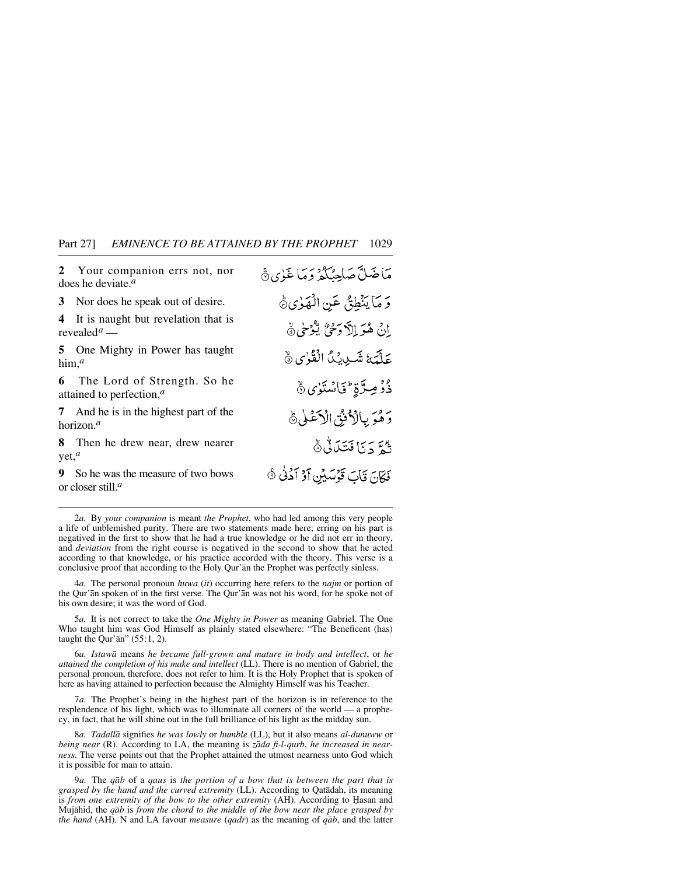**2** Your companion errs not, nor does he deviate.*<sup>a</sup>*

**3** Nor does he speak out of desire.

**4** It is naught but revelation that is revealed*<sup>a</sup>* —

**5** One Mighty in Power has taught him,*<sup>a</sup>*

**6** The Lord of Strength. So he attained to perfection,*<sup>a</sup>*

**7** And he is in the highest part of the horizon.*<sup>a</sup>*

**8** Then he drew near, drew nearer yet,*<sup>a</sup>*

**9** So he was the measure of two bows or closer still.*<sup>a</sup>*

مَاضَلَّ صَاحِبُكُمْ وَمَا غَيْرِي هَي وَمَا يَنْطِقُ عَنِ الْهَوْىِ وَ إِنْ هُوَ إِلاَّ وَحْيٌ يُّوْحٰى ﴾ عَلَّمَةُ شَيْدِيْدًا الْقُرْى ﴾ دْوْمِيرَّةٍ كَاسْتَوْي ۞ وَهُوَ بِالْأَنْقُ الْأَعْلَى ﴾ ثُمَّ دَيَا فَتَكَاثُى هُ فَكَانَ قَابَ قَوْسَيْنِ أَوْ أَدُنَٰ ﴾

2*a.* By *your companion* is meant *the Prophet*, who had led among this very people a life of unblemished purity. There are two statements made here; erring on his part is negatived in the first to show that he had a true knowledge or he did not err in theory, and *deviation* from the right course is negatived in the second to show that he acted according to that knowledge, or his practice accorded with the theory. This verse is a conclusive proof that according to the Holy Qur'ån the Prophet was perfectly sinless.

4*a.* The personal pronoun *huwa* (*it*) occurring here refers to the *najm* or portion of the Qur'ån spoken of in the first verse. The Qur'ån was not his word, for he spoke not of his own desire; it was the word of God.

5*a.* It is not correct to take the *One Mighty in Power* as meaning Gabriel. The One Who taught him was God Himself as plainly stated elsewhere: "The Beneficent (has) taught the Qur' $\bar{a}$ n" (55:1, 2).

6*a. Istawå* means *he became full-grown and mature in body and intellect*, or *he attained the completion of his make and intellect* (LL). There is no mention of Gabriel; the personal pronoun, therefore, does not refer to him. It is the Holy Prophet that is spoken of here as having attained to perfection because the Almighty Himself was his Teacher.

7*a.* The Prophet's being in the highest part of the horizon is in reference to the resplendence of his light, which was to illuminate all corners of the world — a prophecy, in fact, that he will shine out in the full brilliance of his light as the midday sun.

8*a. Tadallå* signifies *he was lowly* or *humble* (LL), but it also means *al-dunuww* or *being near* (R). According to LA, the meaning is *zåda fi-l-qurb*, *he increased in nearness*. The verse points out that the Prophet attained the utmost nearness unto God which it is possible for man to attain.

9*a.* The *qåb* of a *qaus* is *the portion of a bow that is between the part that is grasped by the hand and the curved extremity* (LL). According to Qatådah, its meaning is *from one extremity of the bow to the other extremity* (AH). According to Hasan and Mujåhid, the *qåb* is *from the chord to the middle of the bow near the place grasped by the hand* (AH). N and LA favour *measure* (*qadr*) as the meaning of *qåb*, and the latter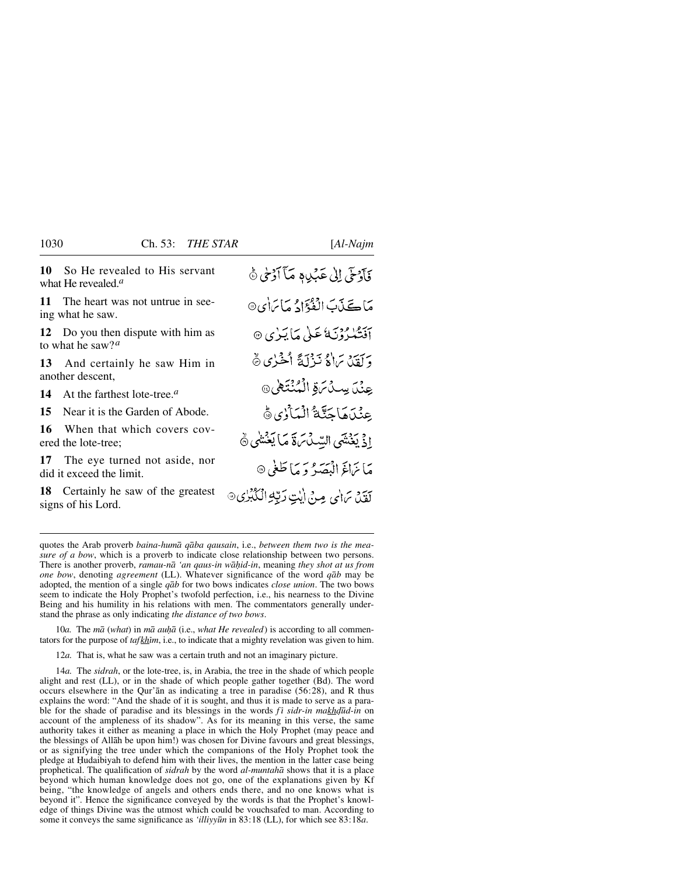**10** So He revealed to His servant what He revealed.*<sup>a</sup>*

**11** The heart was not untrue in seeing what he saw.

**12** Do you then dispute with him as to what he saw?*<sup>a</sup>*

**13** And certainly he saw Him in another descent,

**14** At the farthest lote-tree.*<sup>a</sup>*

**15** Near it is the Garden of Abode.

**16** When that which covers covered the lote-tree;

**17** The eye turned not aside, nor did it exceed the limit.

**18** Certainly he saw of the greatest signs of his Lord.

فَأَدْخَى إِلَىٰ عَدَيْدِ وَ مَآ أَدۡخِي ۞

مَاڪِنَٻَ الۡفُوۡٓادُ مَاسَاٰيِ۞

- أفَنْكُبْرُوْنَ كَأْخَلْي مَا يَبِرْي ۞
- وَلَقَدْيَ بَرَادُ نَبِزْلَةً أَخْبَرُي هُ
- عِنْدَ بِسِدْسَ قِي الْمُنْتَعِينِ @
- عِنْدَهَاجَتَّةُ الْمَأْزِي ڤَ
- إِذْ يَغْنَتَى السِّدْسَ لَا مَا يَغْنِنَى ﴾
- - مَا نَرَاءَ الْهَصَدُ وَ مَا طَغَى ۞

بير به براي مرد ايت <del>رب</del>ع انگېزي@

10*a.* The *må* (*what*) in *må au√å* (i.e., *what He revealed*) is according to all commentators for the purpose of *tafkhim*, i.e., to indicate that a mighty revelation was given to him.

12*a.* That is, what he saw was a certain truth and not an imaginary picture.

14*a.* The *sidrah*, or the lote-tree, is, in Arabia, the tree in the shade of which people alight and rest (LL), or in the shade of which people gather together (Bd). The word occurs elsewhere in the Qur'ån as indicating a tree in paradise (56:28), and R thus explains the word: "And the shade of it is sought, and thus it is made to serve as a parable for the shade of paradise and its blessings in the words *f i sidr-in makhdūd-in* on account of the ampleness of its shadow". As for its meaning in this verse, the same authority takes it either as meaning a place in which the Holy Prophet (may peace and the blessings of Allåh be upon him!) was chosen for Divine favours and great blessings, or as signifying the tree under which the companions of the Holy Prophet took the pledge at Hudaibiyah to defend him with their lives, the mention in the latter case being prophetical. The qualification of *sidrah* by the word *al-muntahå* shows that it is a place beyond which human knowledge does not go, one of the explanations given by Kf being, "the knowledge of angels and others ends there, and no one knows what is beyond it". Hence the significance conveyed by the words is that the Prophet's knowledge of things Divine was the utmost which could be vouchsafed to man. According to some it conveys the same significance as *'illiyy∂n* in 83:18 (LL), for which see 83:18*a*.

quotes the Arab proverb *baina-humå qåba qausain*, i.e., *between them two is the measure of a bow*, which is a proverb to indicate close relationship between two persons. There is another proverb, *ramau-nå 'an qaus-in wå√id-in*, meaning *they shot at us from one bow*, denoting *agreement* (LL). Whatever significance of the word *qåb* may be adopted, the mention of a single *qåb* for two bows indicates *close union*. The two bows seem to indicate the Holy Prophet's twofold perfection, i.e., his nearness to the Divine Being and his humility in his relations with men. The commentators generally understand the phrase as only indicating *the distance of two bows*.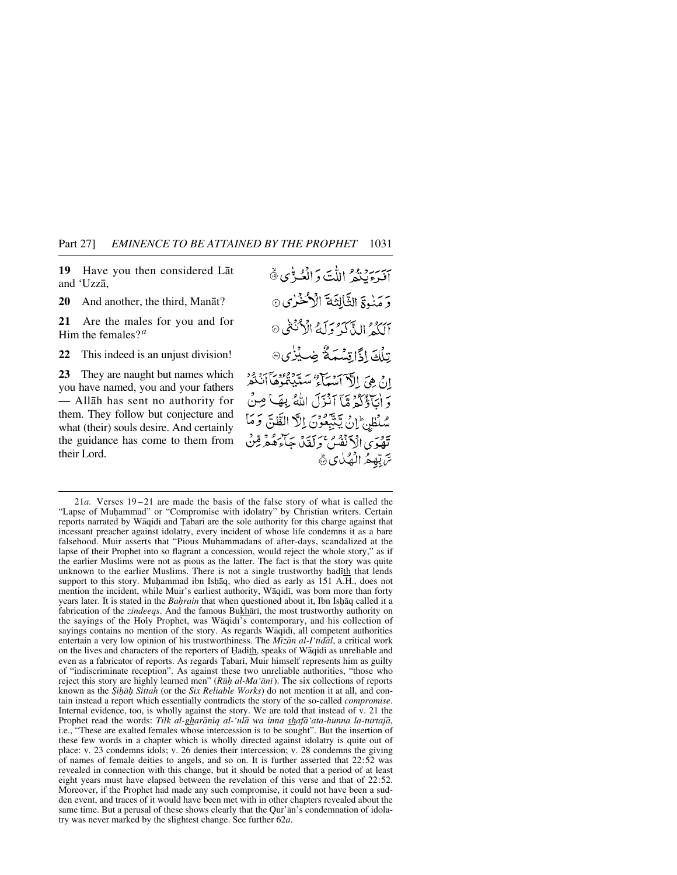**19** Have you then considered Låt and 'Uzzå,

**20** And another, the third, Manåt?

**21** Are the males for you and for Him the females?*<sup>a</sup>*

**22** This indeed is an unjust division!

**23** They are naught but names which you have named, you and your fathers — Allåh has sent no authority for them. They follow but conjecture and what (their) souls desire. And certainly the guidance has come to them from their Lord.

يجة سرو وهو اللَّ*ت* وَالْعُب<sup>ا</sup>نِي ۞ وَمَنْوَةِ الثَّالِثَةَ الْأَحْزٰى ۞ آلكم الذَّكَرُ وَلَهُ الْأَنْتُفُ ® تِلْكَ إِذَّاتِسْمَةٌ ضِيْرُى® وَ أَبَاؤُكُمْ مَّآ ٱنْذَلَ اللَّهُ بِهَا مِنْ سُلْطِنِ ۚ إِنَّ يَتَّبِعُونَ إِلَّا الظَّنِّ وَمَا تَهْوَىُ الْأَنْفُسُ وَلَقَدْ جَاءَهُمْ قِنْ سَّ تِهِعُ الْهُلْيَ ﴾

<sup>21</sup>*a.* Verses 19 –21 are made the basis of the false story of what is called the "Lapse of Muhammad" or "Compromise with idolatry" by Christian writers. Certain reports narrated by Wāqidi and Tabari are the sole authority for this charge against that incessant preacher against idolatry, every incident of whose life condemns it as a bare falsehood. Muir asserts that "Pious Muhammadans of after-days, scandalized at the lapse of their Prophet into so flagrant a concession, would reject the whole story," as if the earlier Muslims were not as pious as the latter. The fact is that the story was quite unknown to the earlier Muslims. There is not a single trustworthy hadith that lends support to this story. Muhammad ibn Ishaq, who died as early as 151 A.H., does not mention the incident, while Muir's earliest authority, Wāqidī, was born more than forty years later. It is stated in the *Bahrain* that when questioned about it, Ibn Ishaq called it a fabrication of the *zindeeqs*. And the famous Bukhārī, the most trustworthy authority on the sayings of the Holy Prophet, was Wāqidi's contemporary, and his collection of sayings contains no mention of the story. As regards Wāqidī, all competent authorities entertain a very low opinion of his trustworthiness. The *Mßzån al-I'tidål*, a critical work on the lives and characters of the reporters of Hadith, speaks of Wāqidi as unreliable and even as a fabricator of reports. As regards Tabari, Muir himself represents him as guilty of "indiscriminate reception". As against these two unreliable authorities, "those who reject this story are highly learned men" (*R∂√ al-Ma'ånß*). The six collections of reports known as the *Şihāḥ Sittah* (or the *Six Reliable Works*) do not mention it at all, and contain instead a report which essentially contradicts the story of the so-called *compromise*. Internal evidence, too, is wholly against the story. We are told that instead of v. 21 the Prophet read the words: *Tilk al-gharāniq al-'ulā wa inna shafā'ata-hunna la-turtajā*, i.e., "These are exalted females whose intercession is to be sought". But the insertion of these few words in a chapter which is wholly directed against idolatry is quite out of place: v. 23 condemns idols; v. 26 denies their intercession; v. 28 condemns the giving of names of female deities to angels, and so on. It is further asserted that 22:52 was revealed in connection with this change, but it should be noted that a period of at least eight years must have elapsed between the revelation of this verse and that of 22:52. Moreover, if the Prophet had made any such compromise, it could not have been a sudden event, and traces of it would have been met with in other chapters revealed about the same time. But a perusal of these shows clearly that the Qur'ån's condemnation of idolatry was never marked by the slightest change. See further 62*a*.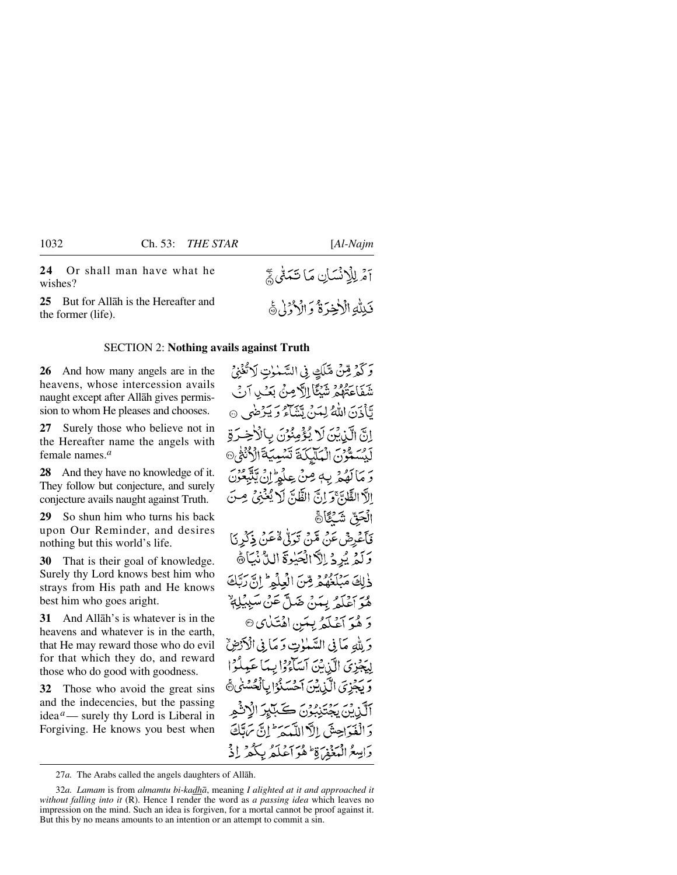**24** Or shall man have what he wishes?

**25** But for Allåh is the Hereafter and the former (life).

### SECTION 2: **Nothing avails against Truth**

**26** And how many angels are in the heavens, whose intercession avails naught except after Allåh gives permission to whom He pleases and chooses.

**27** Surely those who believe not in the Hereafter name the angels with female names.*<sup>a</sup>*

**28** And they have no knowledge of it. They follow but conjecture, and surely conjecture avails naught against Truth.

**29** So shun him who turns his back upon Our Reminder, and desires nothing but this world's life.

**30** That is their goal of knowledge. Surely thy Lord knows best him who strays from His path and He knows best him who goes aright.

**31** And Allåh's is whatever is in the heavens and whatever is in the earth, that He may reward those who do evil for that which they do, and reward those who do good with goodness.

**32** Those who avoid the great sins and the indecencies, but the passing idea*a*— surely thy Lord is Liberal in Forgiving. He knows you best when اَمْرِ لِلْاِنْسَانِ مَا نَتَمَنَّىٰ ﴾ فَلِلَّهِ الْأَخِيَرَةُ وَ الْأَدْرُ لِ هَي

وَكَمْرِ قِمْنٌ مَّنَاكِ فِي السَّمْوٰتِ لَاتَّخَنِيُّ شَفَاعَتُهُمُ شَيْئًا إِلَّا مِنْ بَعْثِ آنُ لَّأَذَنَ اللَّهُ لِمَنْ يَتَنَاءُ وَيَرْضَى ۞ انَّ الَّذِينَ لَا يُؤْمِنُوْنَ بِالْأَخِيرَةِ لَّكِسَمُّوْنَ الْمَلْيَكَةَ تَسْبِيَةَ الْأَنْثَرُ @ وَ مَا لَهُمْ بِهِ مِنْ عِلْمِ إِنْ يَتَّبِعُ الاَّ الظَّابَيَّ وَ إِنِّ الظَّابَّ لَ يُمْنِيَّ مِ الْحَقّ شَكَأَةَ فَأَعْرِضْ عَنْ مِّينْ تَوَتَّىٰ هُ عَنْ ذِكْرِ نَا وَلَّدُ يُرِدُ إِلَّآ الۡجَيۡوَةَ اللَّهُ نَبَاهُ ذٰلِكَ مَبْلَغُهُمْ مِّنّ الْعِلْمَ \* إِنَّ رَبَّكَ هُوَ أَعْلَمُ بِيَنْ ضَلَّ عَنْ سَبِيْلِةٌ وَ هُوَ آَعُلَّكُمْ بِيِمَنِ اهْتَكْبِي © وَ لِلَّهِ مَا فِي السَّلَّاتِ وَ مَا فِي الْأَدْخِنِّ لِيَجْزِيَ الَّذِيْنَ آَسَاءُوْا بِيِدَا عَبِيلُوْا وَ يَجْزِيَ الْكَذِيقِيَ ٱحْسَنُوْا بِأَ ن قسم سوئي دوم.<br>مالين بحث تنگون ڪيليز دَ الْفَدَاحِيقَ إِلاَّ اللَّهِ مَدَ<sup>ط</sup>َانَ سَ دَامِيعُ الْمَغْفِرَةِ ۖ هُوَ أَعْلَمُ بِكُمْ ۚ إِذْ

27*a.* The Arabs called the angels daughters of Allåh.

<sup>32</sup>*a. Lamam* is from *almamtu bi-kadhå*, meaning *I alighted at it and approached it without falling into it* (R). Hence I render the word as *a passing idea* which leaves no impression on the mind. Such an idea is forgiven, for a mortal cannot be proof against it. But this by no means amounts to an intention or an attempt to commit a sin.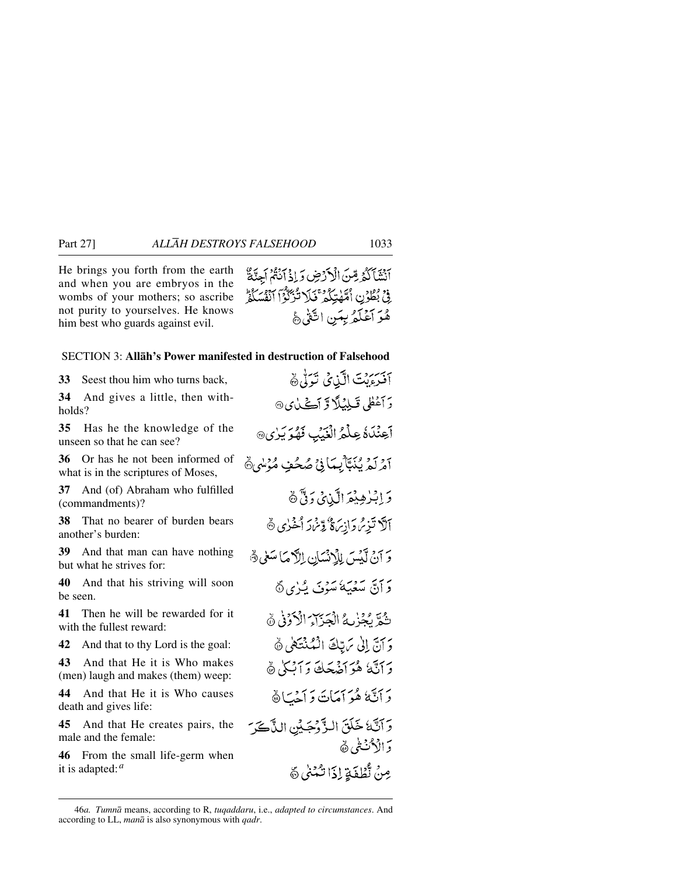He brings you forth from the earth and when you are embryos in the wombs of your mothers; so ascribe not purity to yourselves. He knows him best who guards against evil.

آنَشَأَكَدُ مِّنَ الْأَرْضِ وَإِذْ آَنَتُمْ أَجِنَّةٌ فِي بُطُوْنِ أُمَّهْتِكُمْ فَلَا تُزَكَّوْاً أَنْفُسَكُمْ هُوَ أَعْلَمُ بِبَنِ اتَّفَىٰ هَجْ

### SECTION 3: **Allåh's Power manifested in destruction of Falsehood**

**33** Seest thou him who turns back,

**34** And gives a little, then withholds?

**35** Has he the knowledge of the unseen so that he can see?

**36** Or has he not been informed of what is in the scriptures of Moses,

**37** And (of) Abraham who fulfilled (commandments)?

**38** That no bearer of burden bears another's burden:

**39** And that man can have nothing but what he strives for:

**40** And that his striving will soon be seen.

**41** Then he will be rewarded for it with the fullest reward:

**42** And that to thy Lord is the goal:

**43** And that He it is Who makes (men) laugh and makes (them) weep:

**44** And that He it is Who causes death and gives life:

**45** And that He creates pairs, the male and the female:

**46** From the small life-germ when it is adapted:*<sup>a</sup>*

آفَرَءِيْتَ الَّيْنِيُّ تَوَلَّىٰ ﴾ رَ أَعْطَى قَبِلِيَلَا وَّ أَڪَيٰنِي @ أعِنْدَهُ عِلْمُ الْغَيْبِ فَهُوَ يَرْيِي آمْرِكْمْ يُنَبَّأْبِيكَا فِيْ صُحُفٍ مُؤْسُمٍ ﴾ وَ إِبْرٰهِيْمَ الَّذِيْ وَفَّى هَ آلاً تَزِيْرُ دَانِهَا وَقَرْبَارَ أَخْرُى ﴾ وَ آنْ لَيْسَ لِلْإِنْسَانِ الرَّكْمَا سَعٰى هُ ئرانتي سُعَيْهَة سُوْيَ يُبْزِي ۞ تَّقَدَّ بِجُزْمِهُ الْجَزَآءَ الْأَدَّوْنِي ۞ وَ آنَّ إِلَىٰ مَرِّبِّكَ الْمُنْتَهَىٰ ﴾ دَ أَنَّهُ هُوَ أَضْعَكَ وَأَنِيكُي هُ دَ أَنَّهُمْ هُوَ أَمَاتَ دَ أَجْبَأَ ۞ وَ آتَكَ خَلَقَ البِّوْحِيِّنِ الذَّبِّ وَ الْأَكْتُنِي هَ مِنْ تُطْفَةِ إِذَا تَبْنَىٰ ۞

<sup>46</sup>*a. Tumnå* means, according to R, *tuqaddaru*, i.e., *adapted to circumstances*. And according to LL, *manå* is also synonymous with *qadr*.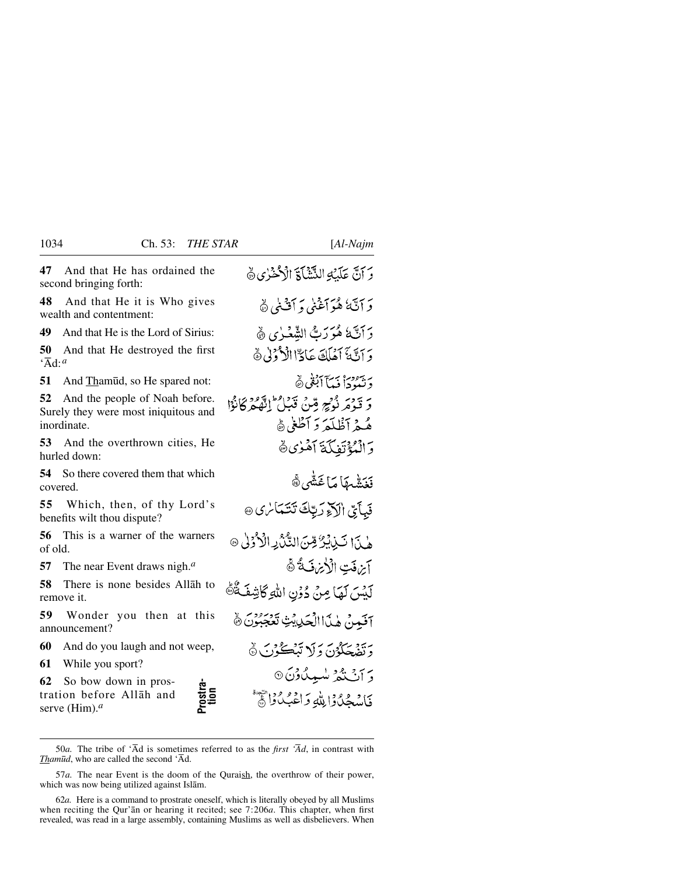**47** And that He has ordained the second bringing forth:

**48** And that He it is Who gives wealth and contentment:

**49** And that He is the Lord of Sirius:

**50** And that He destroyed the first 'Åd:*<sup>a</sup>*

**51** And Thamūd, so He spared not:

**52** And the people of Noah before. Surely they were most iniquitous and inordinate.

**53** And the overthrown cities, He hurled down:

**54** So there covered them that which covered.

**55** Which, then, of thy Lord's benefits wilt thou dispute?

**56** This is a warner of the warners of old.

**57** The near Event draws nigh.*<sup>a</sup>*

**58** There is none besides Allåh to remove it.

**59** Wonder you then at this announcement?

**60** And do you laugh and not weep,

**61** While you sport?

**62** So bow down in prostration before Allåh and serve (Him).*<sup>a</sup>*

**Prostra- tion**

وَ آنَّ عَلَيْهِ النَّشْأَةَ الْأَحْنُرُي ۞ دَ آتَهُ ٰ هُوَ آغَنِي وَ آُفْنِي ۞ رَ أَتَّ هُوَرَتَّ الشَّعْيٰ يِ ۞ دَ أَنَّهُ أَمْلَكَ عَادٌّاالْأَرْزِلْ هُ دَ بِيَهْمِيهَا أَبْقَى هَيْ وَ قَدْمَ نُوْجِ مِّنْ قَدَامِ الْفَقْهَ كَانُوْا هُيمْ أَظُلَمَ دَ أَطْغِي هُ وَ الْمُدْتَفِيكَةَ أَهْنُوي ڤَهِ فَغِنْشُهِمَا مَا غَشْيِ ﴾ فَبِأَيِّ الْآَخِ رَبِّكَ تَتَمَاسُ ﴾ @ هٰ بِيَ ٱ تَبِذِينٌ مِّنَ النُّنُّ بِهِ الْأَرْدَىٰ ۞ آبزفت الأبراضة فأ لَيْسَ لَهَا مِنْ دُوْنِ اللَّهِ كَاشِفَةٌ هُ آفَدِنْ هٰذَا الْحَدِيَّتِ تَعْجَبُوْنَ ﴾ به بینکوی و لا تنڪور کا رية و ليميد مادن6 فَاسْجُدُوا لِللَّهِ وَاعْبُدُوا عَلَيْهِ

50*a*. The tribe of ' $\overline{A}d$  is sometimes referred to as the *first* ' $\overline{A}d$ , in contrast with *Thamūd*, who are called the second 'Ād.

57*a.* The near Event is the doom of the Quraish, the overthrow of their power, which was now being utilized against Islåm.

62*a.* Here is a command to prostrate oneself, which is literally obeyed by all Muslims when reciting the Qur'ån or hearing it recited; see 7:206*a*. This chapter, when first revealed, was read in a large assembly, containing Muslims as well as disbelievers. When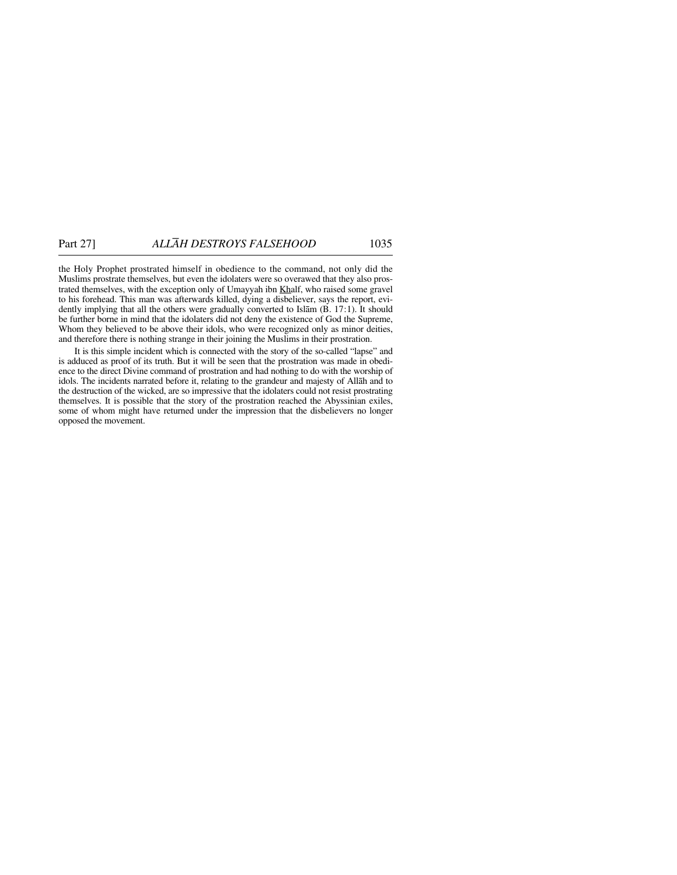the Holy Prophet prostrated himself in obedience to the command, not only did the Muslims prostrate themselves, but even the idolaters were so overawed that they also prostrated themselves, with the exception only of Umayyah ibn Khalf, who raised some gravel to his forehead. This man was afterwards killed, dying a disbeliever, says the report, evidently implying that all the others were gradually converted to Islåm (B. 17:1). It should be further borne in mind that the idolaters did not deny the existence of God the Supreme, Whom they believed to be above their idols, who were recognized only as minor deities, and therefore there is nothing strange in their joining the Muslims in their prostration.

It is this simple incident which is connected with the story of the so-called "lapse" and is adduced as proof of its truth. But it will be seen that the prostration was made in obedience to the direct Divine command of prostration and had nothing to do with the worship of idols. The incidents narrated before it, relating to the grandeur and majesty of Allåh and to the destruction of the wicked, are so impressive that the idolaters could not resist prostrating themselves. It is possible that the story of the prostration reached the Abyssinian exiles, some of whom might have returned under the impression that the disbelievers no longer opposed the movement.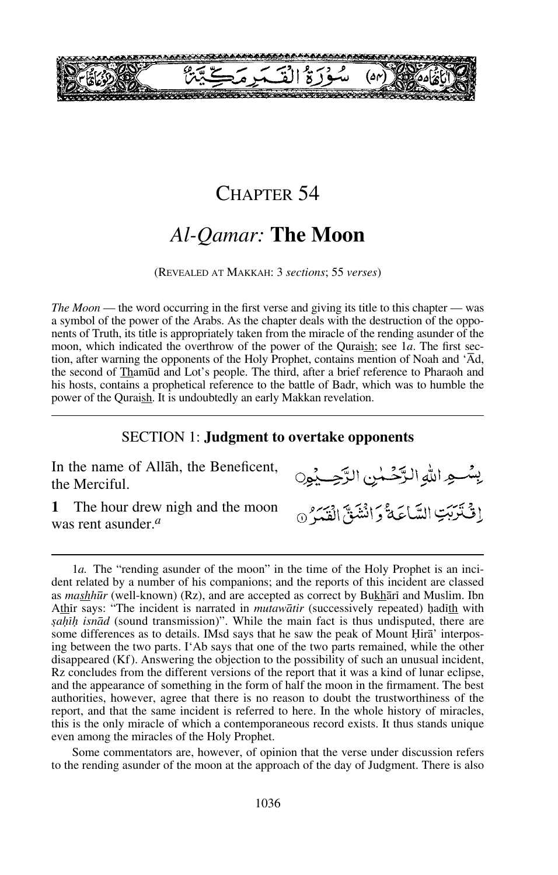

### CHAPTER 54

# *Al-Qamar:* **The Moon**

(REVEALED AT MAKKAH: 3 *sections*; 55 *verses*)

*The Moon* — the word occurring in the first verse and giving its title to this chapter — was a symbol of the power of the Arabs. As the chapter deals with the destruction of the opponents of Truth, its title is appropriately taken from the miracle of the rending asunder of the moon, which indicated the overthrow of the power of the Quraish; see 1*a*. The first section, after warning the opponents of the Holy Prophet, contains mention of Noah and 'Åd, the second of Thamūd and Lot's people. The third, after a brief reference to Pharaoh and his hosts, contains a prophetical reference to the battle of Badr, which was to humble the power of the Quraish. It is undoubtedly an early Makkan revelation.

### SECTION 1: **Judgment to overtake opponents**

In the name of Allåh, the Beneficent, the Merciful.

**1** The hour drew nigh and the moon was rent asunder.*<sup>a</sup>*

يِسْعِهِ اللَّهِ الرَّحْمٰنِ الرَّحِبِيْنِ إِنْ تَرَبَّبَ السَّاعَةُ دَانْشَقَّ الْقَيْرَ @

1*a*. The "rending asunder of the moon" in the time of the Holy Prophet is an incident related by a number of his companions; and the reports of this incident are classed as mashhūr (well-known) (Rz), and are accepted as correct by Bukhārī and Muslim. Ibn Athir says: "The incident is narrated in *mutawātir* (successively repeated) hadith with *sahih isnād* (sound transmission)". While the main fact is thus undisputed, there are some differences as to details. IMsd says that he saw the peak of Mount Hira' interposing between the two parts. I'Ab says that one of the two parts remained, while the other disappeared (Kf). Answering the objection to the possibility of such an unusual incident, Rz concludes from the different versions of the report that it was a kind of lunar eclipse, and the appearance of something in the form of half the moon in the firmament. The best authorities, however, agree that there is no reason to doubt the trustworthiness of the report, and that the same incident is referred to here. In the whole history of miracles, this is the only miracle of which a contemporaneous record exists. It thus stands unique even among the miracles of the Holy Prophet.

Some commentators are, however, of opinion that the verse under discussion refers to the rending asunder of the moon at the approach of the day of Judgment. There is also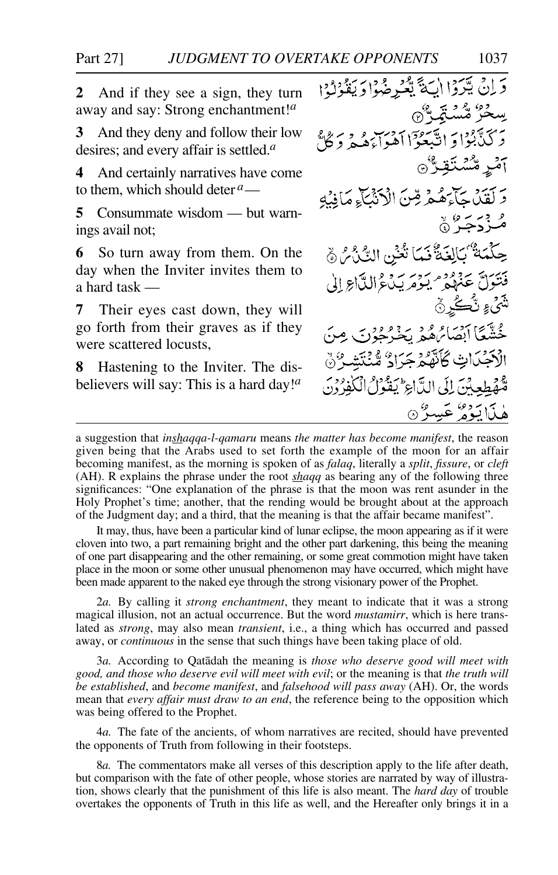**2** And if they see a sign, they turn away and say: Strong enchantment!*<sup>a</sup>*

**3** And they deny and follow their low desires; and every affair is settled.*<sup>a</sup>*

**4** And certainly narratives have come to them, which should deter *<sup>a</sup>*—

**5** Consummate wisdom — but warnings avail not;

**6** So turn away from them. On the day when the Inviter invites them to a hard task —

**7** Their eyes cast down, they will go forth from their graves as if they were scattered locusts,

**8** Hastening to the Inviter. The disbelievers will say: This is a hard day!*<sup>a</sup>*

دَانْ يَرَدَا الْبَةَ يَعْرِضُوْا دَيَقُوْلُوْا ڛڂڒ۠ۺ۠ؽۺٙڗۣ۠۞ ۔<br>برگنگبُوْا وَ اتَّبَعُوْٓا اَهْوَاءَهُمْ وَ كُلُّ آمْرِ مُّسْتَقِنُّ۞ دَ لَقَدْمَ جَآءَهُمْ قِنَ الْأَنْثَاءِ مَانِيْهِ ه در د » « حِكْمَةٌ ۢبَالِغَةٌ فَمَا تُغْنِ النَّنْ } فَتَتَوَلَّ عَنَهُمْ بِمَرْمَرِيَكَ دُالِدًا وَإِلَى ڷ*ڎ<sub>ؽ؏</sub>*ڐۣ۠۠۠۠؎ڲڔڽ فِيَّتَمَا أَبْصَائِرُهُ بِدَوْعِ دِينِ مِنَ الْأَجْدَاتِ كَأَنَّهُمْ جَرَادٌ مُّنْتَشِيٌّ نَّ قَّهُ صَلِحِيْنَ إِلَى الدَّاعِ لِيَفْوَنُ الْكَفِرُوْنَ هٰذَا يَوۡمُ عَسِينٌ

It may, thus, have been a particular kind of lunar eclipse, the moon appearing as if it were cloven into two, a part remaining bright and the other part darkening, this being the meaning of one part disappearing and the other remaining, or some great commotion might have taken place in the moon or some other unusual phenomenon may have occurred, which might have been made apparent to the naked eye through the strong visionary power of the Prophet.

2*a.* By calling it *strong enchantment*, they meant to indicate that it was a strong magical illusion, not an actual occurrence. But the word *mustamirr*, which is here translated as *strong*, may also mean *transient*, i.e., a thing which has occurred and passed away, or *continuous* in the sense that such things have been taking place of old.

3*a.* According to Qatådah the meaning is *those who deserve good will meet with good, and those who deserve evil will meet with evil*; or the meaning is that *the truth will be established*, and *become manifest*, and *falsehood will pass away* (AH). Or, the words mean that *every affair must draw to an end*, the reference being to the opposition which was being offered to the Prophet.

4*a.* The fate of the ancients, of whom narratives are recited, should have prevented the opponents of Truth from following in their footsteps.

8*a.* The commentators make all verses of this description apply to the life after death, but comparison with the fate of other people, whose stories are narrated by way of illustration, shows clearly that the punishment of this life is also meant. The *hard day* of trouble overtakes the opponents of Truth in this life as well, and the Hereafter only brings it in a

a suggestion that *inshaqqa-l-qamaru* means *the matter has become manifest*, the reason given being that the Arabs used to set forth the example of the moon for an affair becoming manifest, as the morning is spoken of as *falaq*, literally a *split*, *fissure*, or *cleft* (AH). R explains the phrase under the root *shaqq* as bearing any of the following three significances: "One explanation of the phrase is that the moon was rent asunder in the Holy Prophet's time; another, that the rending would be brought about at the approach of the Judgment day; and a third, that the meaning is that the affair became manifest".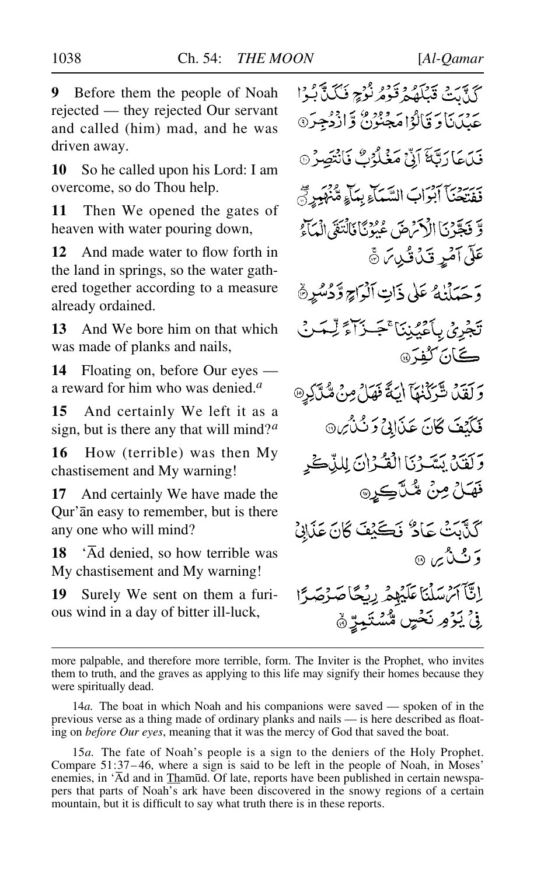**10** So he called upon his Lord: I am overcome, so do Thou help.

**11** Then We opened the gates of heaven with water pouring down,

**12** And made water to flow forth in the land in springs, so the water gathered together according to a measure already ordained.

**13** And We bore him on that which was made of planks and nails,

**14** Floating on, before Our eyes a reward for him who was denied.*<sup>a</sup>*

**15** And certainly We left it as a sign, but is there any that will mind?*<sup>a</sup>*

**16** How (terrible) was then My chastisement and My warning!

**17** And certainly We have made the Qur'ån easy to remember, but is there any one who will mind?

**18** 'Åd denied, so how terrible was My chastisement and My warning!

**19** Surely We sent on them a furious wind in a day of bitter ill-luck,

كَذَّبَتَ قَبْلَهُمْ قَوْمُ نُوْجٍ فَكَيَّابُوْا عَيْدَنَاوَ قَالُوْا مَجْنُوْنٌ وَّازْدُجِرَ® فَيْكِمَا دَيَّةَ آدٌجْ مَغْلُرُكٌ فَأَنْتَصِرُ ۞ فِقِيْحَنَّا آبْوَابَ السَّيّاءِ بِمَاءٍ مُّنْهَبِدِيّ وَّ فَجَّرْنَا الْأَكْرَضَ عُيُونَا فَالْتَغَى الْمَآءُ عَلَى آَمَرٍ قَدْنُ قُرِينَ ﴾ دَ حَيَلْنِهُ عَلَى ذَاتِ ٱلْمَرَاحِ وَّدُسُرِ ۞ تَجْرِيُ بِأَعْيُبْنَا ْجَبْزَآءً لِّسَنْ ڪَانَ *گ*فتَر@ وَلَقَلْ شَّرَكْنَهَا اِيَةً فَهَلْ مِنْ مُّذَّكِرٍ @ فَكَيْفَ كَانَ عَذَالِيْ وَ ثَلْأَيْن وَلَقَيْنَ يَسَّوْيَا الْقُرْانَ لِلنَّكْر قهَلُ مِنْ شُلَّڪِرِ۞ كَذَّبَتْ عَادٌ فَكَيْفَ كَانَ عَذَابِي وَٽَنُي ۞ إِنَّآ آتِسْلُنَا عَلَيْهِمْ رِنْجًا ؚ**ۣڹؘٛ**ٞؽۯ<sub>ۘ</sub>ۄؚٮڬڂڛۣ۩۠ۺؾؘ<u>ؠ</u>ڐۣۿ

more palpable, and therefore more terrible, form. The Inviter is the Prophet, who invites them to truth, and the graves as applying to this life may signify their homes because they were spiritually dead.

<sup>14</sup>*a.* The boat in which Noah and his companions were saved — spoken of in the previous verse as a thing made of ordinary planks and nails — is here described as floating on *before Our eyes*, meaning that it was the mercy of God that saved the boat.

<sup>15</sup>*a.* The fate of Noah's people is a sign to the deniers of the Holy Prophet. Compare 51:37– 46, where a sign is said to be left in the people of Noah, in Moses' enemies, in 'Ād and in Thamūd. Of late, reports have been published in certain newspapers that parts of Noah's ark have been discovered in the snowy regions of a certain mountain, but it is difficult to say what truth there is in these reports.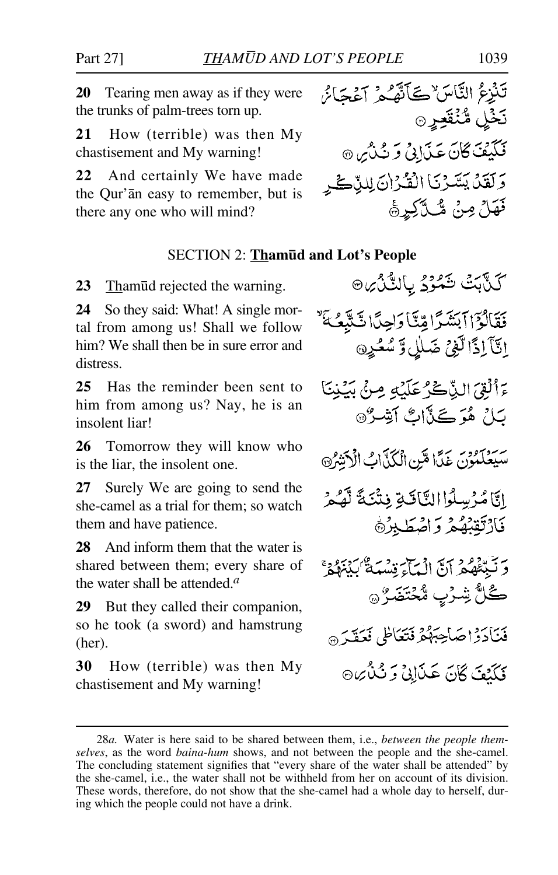**20** Tearing men away as if they were the trunks of palm-trees torn up.

**21** How (terrible) was then My chastisement and My warning!

**22** And certainly We have made the Qur'ån easy to remember, but is there any one who will mind?

# تَنْزِعُ النَّاسَ ٚڪَأَنَّهُمُ آعُجَائُ نَخْلِ مُّنْقَعِيْرِ ۞ قَلَيْفَ كَانَ عَذَابِي وَ نُذْرُى 9 وَلَقَلَ يَسَّرْنَا الْقُرْانَ لِلذَّكْرِ فَهَلْ مِنْ مُّكَّكِيرَةَ

### SECTION 2: **Tham∂d and Lot's People**

**23** Thamūd rejected the warning.

**24** So they said: What! A single mortal from among us! Shall we follow him? We shall then be in sure error and distress.

**25** Has the reminder been sent to him from among us? Nay, he is an insolent liar!

**26** Tomorrow they will know who is the liar, the insolent one.

**27** Surely We are going to send the she-camel as a trial for them; so watch them and have patience.

**28** And inform them that the water is shared between them; every share of the water shall be attended.*<sup>a</sup>*

**29** But they called their companion, so he took (a sword) and hamstrung (her).

**30** How (terrible) was then My chastisement and My warning!

كَنَّآبَتْ شَمْرُدُ بِاَلِدُّنْ ِنِ ۞ فَقَالَوْۤاٖٱبَنۡثَىٰٓآاتِیۡتَا وَاجِدًّا شَتَّبِعُـکَنَّ إِنَّآَ إِذَا لَّغِيْ ضَلَلِ وَ سُعُرِهِ ءَأَلْقِيَ الذَّكْرُ عَلَيْهِ مِنْ بَيْنِنَا بَارُ هُوَ كَيْأَاتٌ أَشِيرٌ۞ سَيَعْلَمُونَ عَمَّا مَّنِ الْكُدَّابُ الْآنَشُ إِنَّا مُرْسِلُوا النَّاقَةِ فِتْنَكَّ لَّهُمْ فَارْتَقِبْهُمْ وَاصْطَبِرْهَ وَنَبِيُّعُهُمْ أَنَّ الْمَآءَ مِسْهَةٌ كَنْهُوْمٍ ڴڵٞۺۯٮٟ۪ۥۺ۠ػؾؘۻؘڒ<sub>ٛ۞</sub> فْنَادَدْاحْبَاحِبْهُمْ فَتَعَاظَى فَعَقْدَ ۞ فَكَنْتَ كَانَ عَذَابِيٌ وَ نُذْيِرِهِ

<sup>28</sup>*a.* Water is here said to be shared between them, i.e., *between the people themselves*, as the word *baina-hum* shows, and not between the people and the she-camel. The concluding statement signifies that "every share of the water shall be attended" by the she-camel, i.e., the water shall not be withheld from her on account of its division. These words, therefore, do not show that the she-camel had a whole day to herself, during which the people could not have a drink.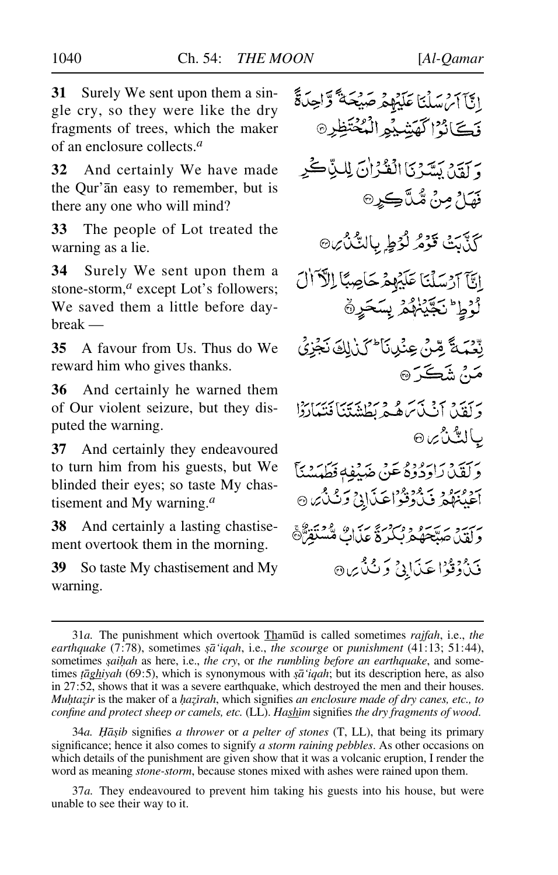**31** Surely We sent upon them a single cry, so they were like the dry fragments of trees, which the maker of an enclosure collects.*<sup>a</sup>*

**32** And certainly We have made the Qur'ån easy to remember, but is there any one who will mind?

**33** The people of Lot treated the warning as a lie.

**34** Surely We sent upon them a stone-storm,<sup>*a*</sup> except Lot's followers; We saved them a little before daybreak —

**35** A favour from Us. Thus do We reward him who gives thanks.

**36** And certainly he warned them of Our violent seizure, but they disputed the warning.

**37** And certainly they endeavoured to turn him from his guests, but We blinded their eyes; so taste My chastisement and My warning.*<sup>a</sup>*

**38** And certainly a lasting chastisement overtook them in the morning.

**39** So taste My chastisement and My warning.

إِبَّآ آَمْ سَلْنَا عَلَيْهِمْ صَيْحَةً وَّاحِدَةً وَكَانُوْ الْكَشِيْعِ الْمُخْتَظِرِ @ وَ يَقِيَى بَسَّرَيَّا انْقُرْاٰنَ لِلَّذِّيْ كَرِ فَقَاحُ مِنْ مُثَلَّڪِرِ۞ كَذَّبَتْ قَوْمُ لَوُطٍ بِالتَّلْأُيِنَ اتآ آرْسَلْنَا عَلَيْهِمْ حَاصِبًا الْآَالَ لزط تكينهمر بسكرة بْعَدَ مَّ مِّنْ عِنْدِنَا ۚ كَذَٰرِكَ نَجْزِي مَنْ شَڪَرَ۞ برسية وسرق تركيب في وسطنة بتنا فتتباردا بالٽُنُ *ب*ن رَبَّةٍ وَرَارَ وَوَقَعَ عَنْ هَدَيْفِهِ فَطَيَسْنَاً آغَيْنَهُمْ فَذَرَّقَوْاعَذَابِي وَثَنْثُهُ 9 سب به سه بره در درد برس همتندگی<br>و لقد، جینجهگرد نیکرد عملیات منستقرگ فَيْدُدْفُوْا عَيْدَابِي دَيْدُ بِرِيهِ

34*a. 쌩ib* signifies *a thrower* or *a pelter of stones* (T, LL), that being its primary significance; hence it also comes to signify *a storm raining pebbles*. As other occasions on which details of the punishment are given show that it was a volcanic eruption, I render the word as meaning *stone-storm*, because stones mixed with ashes were rained upon them.

37*a.* They endeavoured to prevent him taking his guests into his house, but were unable to see their way to it.

<sup>31</sup>*a.* The punishment which overtook Tham∂d is called sometimes *rajfah*, i.e., *the earthquake* (7:78), sometimes *şā* 'iqah, i.e., *the scourge* or *punishment* (41:13; 51:44), sometimes *©ai√ah* as here, i.e., *the cry*, or *the rumbling before an earthquake*, and sometimes *taghiyah* (69:5), which is synonymous with *sa*<sup>'</sup>*igah*; but its description here, as also in 27:52, shows that it was a severe earthquake, which destroyed the men and their houses. *Mu*htazir is the maker of a *hazirah*, which signifies *an enclosure made of dry canes, etc., to confine and protect sheep or camels, etc.* (LL). *Hashim* signifies *the dry fragments of wood.*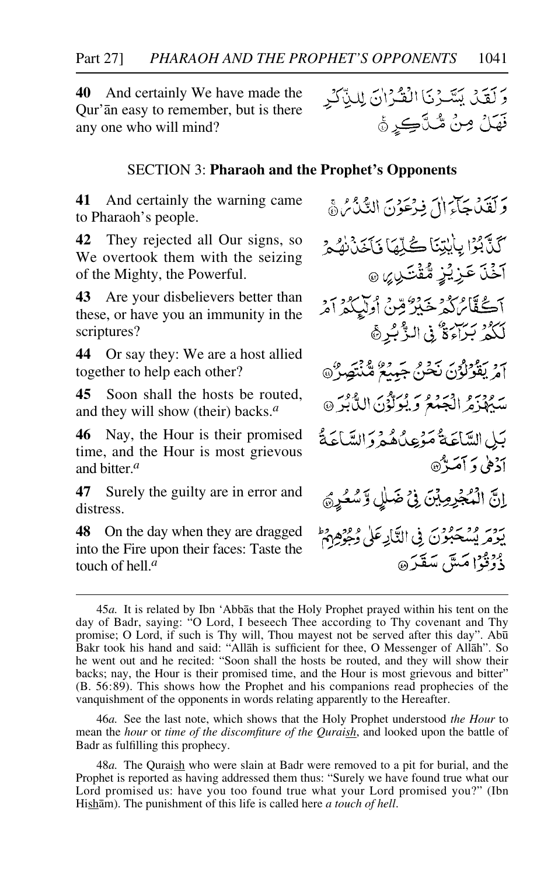**40** And certainly We have made the Qur'ån easy to remember, but is there any one who will mind?

#### SECTION 3: **Pharaoh and the Prophet's Opponents**

**41** And certainly the warning came to Pharaoh's people.

**42** They rejected all Our signs, so We overtook them with the seizing of the Mighty, the Powerful.

**43** Are your disbelievers better than these, or have you an immunity in the scriptures?

**44** Or say they: We are a host allied together to help each other?

**45** Soon shall the hosts be routed, and they will show (their) backs.*<sup>a</sup>*

**46** Nay, the Hour is their promised time, and the Hour is most grievous and bitter.*<sup>a</sup>*

**47** Surely the guilty are in error and distress.

**48** On the day when they are dragged into the Fire upon their faces: Taste the touch of hell.*<sup>a</sup>*

وَلَقَدْبِكِمَا إِلَى فِدْعَوْنَ الدَّيْدُ مِنْ هَ كَذَّبُوْا بِأَيْتِنَا كُلِّمَا فَأَخَذْنَهُ هُ آخۡنَ عَزِیۡزٍ مُّقۡتَـٰںِ ِ ﴾ ۞ آڪُڦَّائڻ گُهرُخَيْرُ قِنْ اُولِيگُهِ آمُرِ لَكُمْ بَرَاءَةٌ فِي الزَّبُرِ ﴾ م ديفوارس نحوم سيدو گڏيسون<br>آمريفولون نخبي جيدو گڏيھيون سِيُهْزِمُ الْجَمْعُ وَيُوَلَّوْنَ اللَّّابُرَ @ بَيْلِ السَّاعَةُ مَؤْعِدٌهُ هُمْ وَ السَّاعَةُ أذهى وآمَينَهِ إِنَّ الْمُجْرِمِيْنَ فِي ضَلِّلٍ وَّسُعُرٍ يَوْمَرِ بِيْسْحَبُوْنَ فِي النَّارِعَلِي وُهِوْهِ مِهْ دْرْدْدْ كَمَتَنّ سَقَدَرْهِ

<sup>45</sup>*a.* It is related by Ibn 'Abbås that the Holy Prophet prayed within his tent on the day of Badr, saying: "O Lord, I beseech Thee according to Thy covenant and Thy promise; O Lord, if such is Thy will, Thou mayest not be served after this day". Ab∂ Bakr took his hand and said: "Allåh is sufficient for thee, O Messenger of Allåh". So he went out and he recited: "Soon shall the hosts be routed, and they will show their backs; nay, the Hour is their promised time, and the Hour is most grievous and bitter" (B. 56:89). This shows how the Prophet and his companions read prophecies of the vanquishment of the opponents in words relating apparently to the Hereafter.

<sup>46</sup>*a.* See the last note, which shows that the Holy Prophet understood *the Hour* to mean the *hour* or *time of the discomfiture of the Quraish*, and looked upon the battle of Badr as fulfilling this prophecy.

<sup>48</sup>*a.* The Quraish who were slain at Badr were removed to a pit for burial, and the Prophet is reported as having addressed them thus: "Surely we have found true what our Lord promised us: have you too found true what your Lord promised you?" (Ibn Hishåm). The punishment of this life is called here *a touch of hell*.